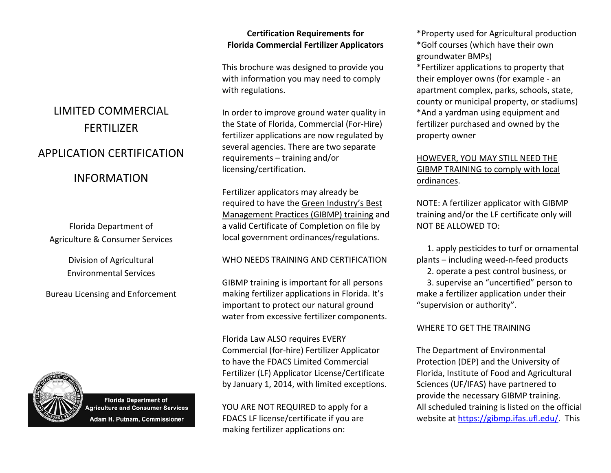### **Certification Requirements for Florida Commercial Fertilizer Applicators**

This brochure was designed to provide you with information you may need to comply with regulations.

In order to improve ground water quality in the State of Florida, Commercial (For‐Hire) fertilizer applications are now regulated by several agencies. There are two separate requirements – training and/or licensing/certification.

Fertilizer applicators may already be required to have the Green Industry's Best Management Practices (GIBMP) training and a valid Certificate of Completion on file by local government ordinances/regulations.

### WHO NEEDS TRAINING AND CERTIFICATION

GIBMP training is important for all persons making fertilizer applications in Florida. It's important to protect our natural ground water from excessive fertilizer components.

Florida Law ALSO requires EVERY Commercial (for‐hire) Fertilizer Applicator to have the FDACS Limited Commercial Fertilizer (LF) Applicator License/Certificate by January 1, 2014, with limited exceptions.

YOU ARE NOT REQUIRED to apply for <sup>a</sup> FDACS LF license/certificate if you are making fertilizer applications on:

\*Property used for Agricultural production \*Golf courses (which have their own groundwater BMPs) \*Fertilizer applications to property that

their employer owns (for example ‐ an apartment complex, parks, schools, state, county or municipal property, or stadiums) \*And <sup>a</sup> yardman using equipment and fertilizer purchased and owned by the property owner

### HOWEVER, YOU MAY STILL NEED THE GIBMP TRAINING to comply with local ordinances.

NOTE: A fertilizer applicator with GIBMP training and/or the LF certificate only will NOT BE ALLOWED TO:

1. apply pesticides to turf or ornamental plants – including weed‐n‐feed products 2. operate <sup>a</sup> pest control business, or 3. supervise an "uncertified" person to make <sup>a</sup> fertilizer application under their "supervision or authority".

### WHERE TO GET THE TRAINING

The Department of Environmental Protection (DEP) and the University of Florida, Institute of Food and Agricultural Sciences (UF/IFAS) have partnered to provide the necessary GIBMP training. All scheduled training is listed on the official website at [https://gibmp.ifas.ufl.edu/.](https://gibmp.ifas.ufl.edu/) This

# LIMITED COMMERCIAL FERTILIZERAPPLICATION CERTIFICATION

## INFORMATION

Florida Department of Agriculture & Consumer Services

> Division of Agricultural Environmental Services

Bureau Licensing and Enforcement



**Florida Department of Agriculture and Consumer Services** Adam H. Putnam, Commissioner